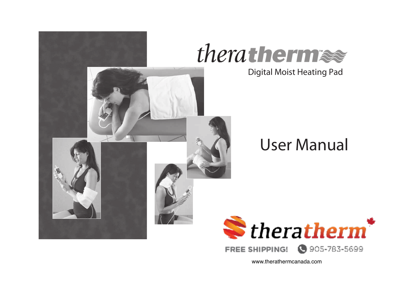



Digital Moist Heating Pad

# **User Manual**



www.therathermcanada.com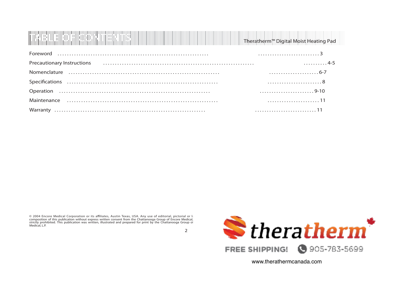| <b>THE REAL PROPERTY OF SECTION</b> |  | Theratherm <sup>™</sup> Digital Moist Heating Pad |
|-------------------------------------|--|---------------------------------------------------|

| $\frac{1}{2}$                                                                                                                                                                                                                 |  |
|-------------------------------------------------------------------------------------------------------------------------------------------------------------------------------------------------------------------------------|--|
| Precautionary Instructions (1.1) (1995) (1996) (1997) (1998) (1998) (1998) (1998) (1998) (1998) (1999) (1999) (1999) (1999) (1999) (1999) (1999) (1999) (1999) (1999) (1999) (1999) (1999) (1999) (1999) (1999) (1999) (1999) |  |
|                                                                                                                                                                                                                               |  |
|                                                                                                                                                                                                                               |  |
|                                                                                                                                                                                                                               |  |
|                                                                                                                                                                                                                               |  |
|                                                                                                                                                                                                                               |  |

© 2004 Encore Medical Corporation or its affiliates, Austin Texas, USA. Any use of editorial, pictorial or la composition of this publication without express written consent from the Chattanooga Group of Encore Medical, strictly prohibited. This publication was written, illustrated and prepared for print by the Chattanooga Group of<br>Medical, L.P.

2



www.therathermcanada.com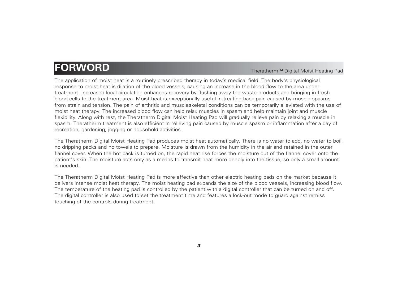### **FORWORD** Note that the state of the state of the state of the state of the state of the state of the state of the state of the state of the state of the state of the state of the state of the state of the state of the st

The application of moist heat is a routinely prescribed therapy in today's medical field. The body's physiological response to moist heat is dilation of the blood vessels, causing an increase in the blood flow to the area under treatment. Increased local circulation enhances recovery by flushing away the waste products and bringing in fresh blood cells to the treatment area. Moist heat is exceptionally useful in treating back pain caused by muscle spasms from strain and tension. The pain of arthritic and muscleskeletal conditions can be temporarily alleviated with the use of moist heat therapy. The increased blood flow can help relax muscles in spasm and help maintain joint and muscle flexibility. Along with rest, the Theratherm Digital Moist Heating Pad will gradually relieve pain by relaxing a muscle in spasm. Theratherm treatment is also efficient in relieving pain caused by muscle spasm or inflammation after a day of recreation, gardening, jogging or household activities.

The Theratherm Digital Moist Heating Pad produces moist heat automatically. There is no water to add, no water to boil, no dripping packs and no towels to prepare. Moisture is drawn from the humidity in the air and retained in the outer flannel cover. When the hot pack is turned on, the rapid heat rise forces the moisture out of the flannel cover onto the patient's skin. The moisture acts only as a means to transmit heat more deeply into the tissue, so only a small amount is needed.

The Theratherm Digital Moist Heating Pad is more effective than other electric heating pads on the market because it delivers intense moist heat therapy. The moist heating pad expands the size of the blood vessels, increasing blood flow. The temperature of the heating pad is controlled by the patient with a digital controller that can be turned on and off. The digital controller is also used to set the treatment time and features a lock-out mode to guard against remiss touching of the controls during treatment.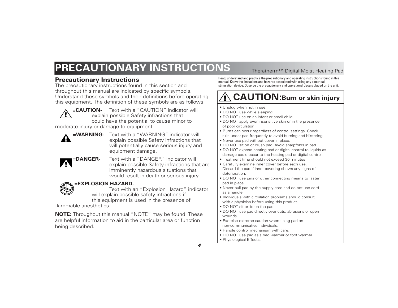## **PRECAUTIONARY INSTRUCTIONS** Theratherm™ Digital Moist Heating Pad

### **Precautionary Instructions**

The precautionary instructions found in this section and throughout this manual are indicated by specific symbols. Understand these symbols and their definitions before operating this equipment. The definition of these symbols are as follows:

**=CAUTION-** Text with a "CAUTION" indicator will explain possible Safety infractions that could have the potential to cause minor to

moderate injury or damage to equipment.



**=WARNING-** Text with a "WARNING" indicator will explain possible Safety infractions that will potentially cause serious injury and equipment damage.

**=DANGER-** Text with a "DANGER" indicator will explain possible Safety infractions that are imminently hazardous situations that would result in death or serious injury.

### **=EXPLOSION HAZARD-**

Text with an "Explosion Hazard" indicator will explain possible safety infractions if this equipment is used in the presence of

flammable anesthetics.

**NOTE:** Throughout this manual "NOTE" may be found. These are helpful information to aid in the particular area or function being described.

Read, understand and practice the precautionary and operating instructions found in this manual. Know the limitations and hazards associated with using any electrical stimulation device. Observe the precautionary and operational decals placed on the unit.

### **CAUTION:Burn or skin injury**

• Unplug when not in use.

- DO NOT use while sleeping.
- DO NOT use on an infant or small child.
- DO NOT apply over insensitive skin or in the presence of poor circulation.
- Burns can occur regardless of control settings. Check skin under pad frequently to avoid burning and blistering.
- Never use pad without cover in place.
- DO NOT sit on or crush pad. Avoid sharpfolds in pad.
- DO NOT expose heating pad or digital control to liquids as damage could occur to the heating pad or digital control.
- Treatment time should not exceed 30 minutes.
- Carefully examine inner cover before each use. Discard the pad if inner covering shows any signs of deterioration.
- DO NOT use pins or other connecting means to fasten pad in place.
- Never pull pad by the supply cord and do not use cord as a handle.
- Individuals with circulation problems should consult with a physician before using this product.
- DO NOT sit or lie on the pad.
- DO NOT use pad directly over cuts, abrasions or open wounds.
- Exercise extreme caution when using pad on non-communicative individuals.
- Handle control mechanism with care.
- DO NOT use pad as a bed warmer or foot warmer.
- Physiological Effects.

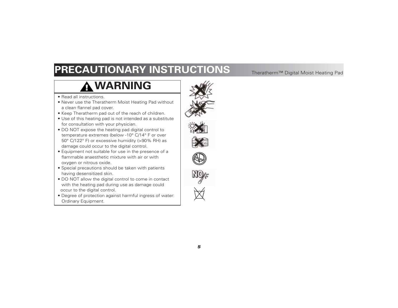## **PRECAUTIONARY INSTRUCTIONS** Theratherm™ Digital Moist Heating Pad

### **WARNING**

- Read all instructions.
- Never use the Theratherm Moist Heating Pad without a clean flannel pad cover.
- Keep Theratherm pad out of the reach of children.
- Use of this heating pad is not intended as a substitute for consultation with your physician.
- DO NOT expose the heating pad digital control to temperature extremes (below -10° C/14° F or over 50° C/122° F) or excessive humidity (>90% RH) as damage could occur to the digital control.
- Equipment not suitable for use in the presence of a flammable anaesthetic mixture with air or with oxygen or nitrous oxide.
- Special precautions should be taken with patients having desensitized skin.
- DO NOT allow the digital control to come in contact with the heating pad during use as damage could occur to the digital control.
- Degree of protection against harmful ingress of water: Ordinary Equipment.





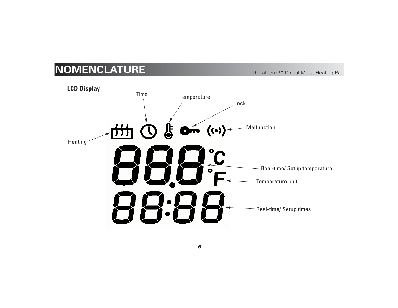## **NOMENCLATURE** Note Theratherm™ Digital Moist Heating Pad

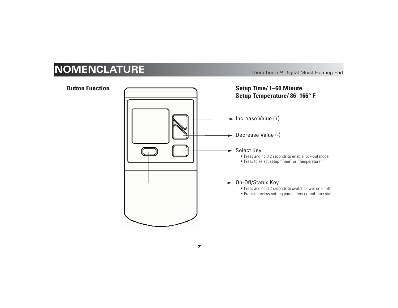## **NOMENCLATURE** Note Theratherm™ Digital Moist Heating Pad



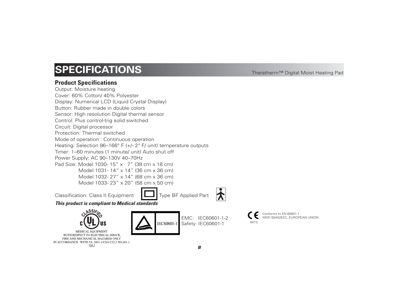### **SPECIFICATIONS** Theratherm™ Digital Moist Heating Pad

### **Product Specifications**

Output: Moisture heating Cover: 60% Cotton/ 40% Polyester Display: Numerical LCD (Liquid Crystal Display) Button: Rubber made in double colors Sensor: High resolution Digital thermal sensor Control: Plus control-trig solid switched Circuit: Digital processor Protection: Thermal switched Mode of operation : Continuous operation Heating: Selection 86–166° F (+/- 2° F/ unit) temperature outputs Timer: 1–60 minutes (1 minute/ unit) Auto shut off Power Supply: AC 90–130V 40–70Hz Pad Size: Model 1030- 15" x 7" (38 cm x 18 cm) Model 1031- 14" x 14" (36 cm x 36 cm) Model 1032- 27" x 14" (68 cm x 36 cm) Model 1033- 23" x 20" (58 cm x 50 cm)

Classification: Class II Equipment  $\Box$  Type BF Applied Part

*This product is compliant to Medical standards*



MEDICAL EQUIPMENT WITH RESPECT TO ELECTRICAL SHOCK. FIRE AND MECHANICAL HAZARDS ONLY IN ACCORDANCE WITH UL 2601-1/CSA C22.2 NO.601.1 71KJ

IEC60601-1

EMC: IEC60601-1-2 Safety: IEC60601-1

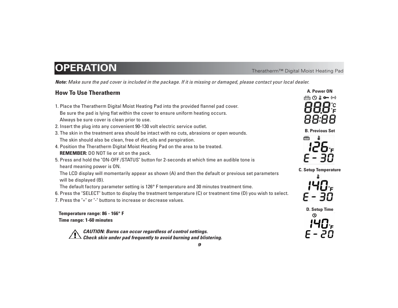### **OPERATION** Theratherm™ Digital Moist Heating Pad

*Note: Make sure the pad cover is included in the package. If it is missing or damaged, please contact your local dealer.*

### **How To Use Theratherm**

- 1. Place the Theratherm Digital Moist Heating Pad into the provided flannel pad cover. Be sure the pad is lying flat within the cover to ensure uniform heating occurs. Always be sure cover is clean prior to use.
- 2. Insert the plug into any convenient 90-130 volt electric service outlet.
- 3. The skin in the treatment area should be intact with no cuts, abrasions or open wounds. The skin should also be clean, free of dirt, oils and perspiration.
- 4. Position the Theratherm Digital Moist Heating Pad on the area to be treated. **REMEMBER:** DO NOT lie or sit on the pack.
- 5. Press and hold the "ON-OFF /STATUS" button for 2-seconds at which time an audible tone is heard meaning power is ON.

The LCD display will momentarily appear as shown (A) and then the default or previous set parameters will be displayed (B).

The default factory parameter setting is 126° F temperature and 30 minutes treatment time.

- 6. Press the "SELECT" button to display the treatment temperature (C) or treatment time (D) you wish to select.
- 7. Press the "+" or "-" buttons to increase or decrease values.

**Temperature range: 86 - 166° F Time range: 1-60 minutes**

*CAUTION: Burns can occur regardless of control settings. Check skin under pad frequently to avoid burning and blistering.*



**B. Previous Set**



**C. Setup Temperature**



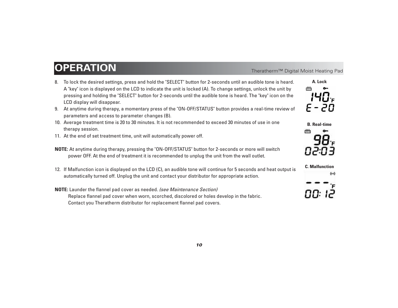### **OPERATION** Network Theratherm™ Digital Moist Heating Pad

- 8. To lock the desired settings, press and hold the "SELECT" button for 2-seconds until an audible tone is heard. A "key" icon is displayed on the LCD to indicate the unit is locked (A). To change settings, unlock the unit by pressing and holding the "SELECT" button for 2-seconds until the audible tone is heard. The "key" icon on the LCD display will disappear.
- 9. At anytime during therapy, a momentary press of the "ON-OFF/STATUS" button provides a real-time review of parameters and access to parameter changes (B).
- 10. Average treatment time is 20 to 30 minutes. It is not recommended to exceed 30 minutes of use in one therapy session.
- 11. At the end of set treatment time, unit will automatically power off.
- **NOTE:** At anytime during therapy, pressing the "ON-OFF/STATUS" button for 2-seconds or more will switch power OFF. At the end of treatment it is recommended to unplug the unit from the wall outlet.
- 12. If Malfunction icon is displayed on the LCD (C), an audible tone will continue for 5 seconds and heat output is automatically turned off. Unplug the unit and contact your distributor for appropriate action.

### **NOTE:** Launder the flannel pad cover as needed. *(see Maintenance Section)* Replace flannel pad cover when worn, scorched, discolored or holes develop in the fabric. Contact you Theratherm distributor for replacement flannel pad covers.